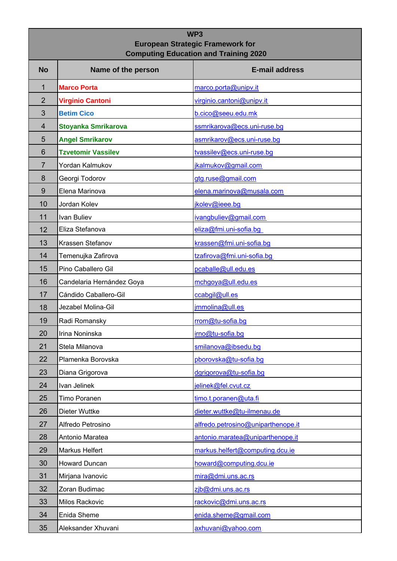## **WP3 European Strategic Framework for Computing Education and Training 2020**

| <b>No</b>       | Name of the person         | <b>E-mail address</b>              |
|-----------------|----------------------------|------------------------------------|
| 1               | <b>Marco Porta</b>         | marco.porta@unipv.it               |
| $\overline{2}$  | <b>Virginio Cantoni</b>    | virginio.cantoni@unipv.it          |
| 3               | <b>Betim Cico</b>          | b.cico@seeu.edu.mk                 |
| $\overline{4}$  | <b>Stoyanka Smrikarova</b> | ssmrikarova@ecs.uni-ruse.bg        |
| 5               | <b>Angel Smrikarov</b>     | asmrikarov@ecs.uni-ruse.bg         |
| $6\phantom{1}6$ | <b>Tzvetomir Vassilev</b>  | tvassilev@ecs.uni-ruse.bg          |
| 7               | Yordan Kalmukov            | jkalmukov@gmail.com                |
| 8               | Georgi Todorov             | gtg.ruse@gmail.com                 |
| 9               | Elena Marinova             | elena.marinova@musala.com          |
| 10              | Jordan Kolev               | jkolev@ieee.bg                     |
| 11              | Ivan Buliev                | ivangbuliev@gmail.com              |
| 12              | Eliza Stefanova            | eliza@fmi.uni-sofia.bg             |
| 13              | Krassen Stefanov           | krassen@fmi.uni-sofia.bg           |
| 14              | Temenujka Zafirova         | tzafirova@fmi.uni-sofia.bg         |
| 15              | Pino Caballero Gil         | pcaballe@ull.edu.es                |
| 16              | Candelaria Hernández Goya  | mchgoya@ull.edu.es                 |
| 17              | Cándido Caballero-Gil      | ccabgil@ull.es                     |
| 18              | Jezabel Molina-Gil         | jmmolina@ull.es                    |
| 19              | Radi Romansky              | rrom@tu-sofia.bg                   |
| 20              | Irina Noninska             | irno@tu-sofia.bg                   |
| 21              | Stela Milanova             | smilanova@ibsedu.bg                |
| 22              | Plamenka Borovska          | pborovska@tu-sofia.bg              |
| 23              | Diana Grigorova            | dgrigorova@tu-sofia.bg             |
| 24              | Ivan Jelinek               | jelinek@fel.cvut.cz                |
| 25              | Timo Poranen               | timo.t.poranen@uta.fi              |
| 26              | Dieter Wuttke              | dieter.wuttke@tu-ilmenau.de        |
| 27              | Alfredo Petrosino          | alfredo.petrosino@uniparthenope.it |
| 28              | Antonio Maratea            | antonio.maratea@uniparthenope.it   |
| 29              | Markus Helfert             | markus.helfert@computing.dcu.ie    |
| 30              | Howard Duncan              | howard@computing.dcu.ie            |
| 31              | Mirjana Ivanovic           | mira@dmi.uns.ac.rs                 |
| 32              | Zoran Budimac              | zjb@dmi.uns.ac.rs                  |
| 33              | Milos Rackovic             | rackovic@dmi.uns.ac.rs             |
| 34              | Enida Sheme                | enida.sheme@gmail.com              |
| 35              | Aleksander Xhuvani         | axhuvani@yahoo.com                 |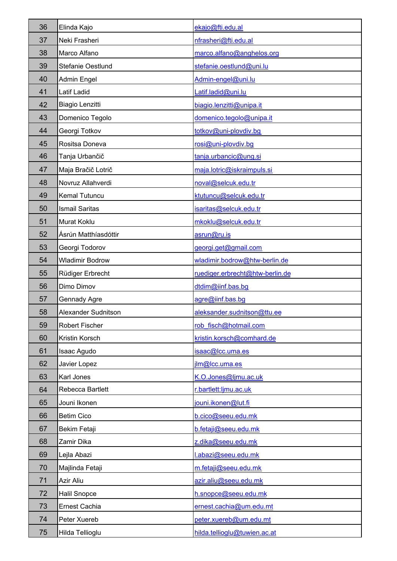| 36 | Elinda Kajo            | ekajo@fti.edu.al                |
|----|------------------------|---------------------------------|
| 37 | Neki Frasheri          | nfrasheri@fti.edu.al            |
| 38 | Marco Alfano           | marco.alfano@anghelos.org       |
| 39 | Stefanie Oestlund      | stefanie.oestlund@uni.lu        |
| 40 | Admin Engel            | Admin-engel@uni.lu              |
| 41 | Latif Ladid            | Latif.ladid@uni.lu              |
| 42 | Biagio Lenzitti        | biagio.lenzitti@unipa.it        |
| 43 | Domenico Tegolo        | domenico.tegolo@unipa.it        |
| 44 | Georgi Totkov          | totkov@uni-plovdiv.bg           |
| 45 | Rositsa Doneva         | rosi@uni-plovdiv.bg             |
| 46 | Tanja Urbančič         | tanja.urbancic@ung.si           |
| 47 | Maja Bračič Lotrič     | maja.lotric@iskraimpuls.si      |
| 48 | Novruz Allahverdi      | noval@selcuk.edu.tr             |
| 49 | Kemal Tutuncu          | ktutuncu@selcuk.edu.tr          |
| 50 | <b>Ismail Saritas</b>  | isaritas@selcuk.edu.tr          |
| 51 | Murat Koklu            | mkoklu@selcuk.edu.tr            |
| 52 | Ásrún Matthíasdóttir   | asrun@ru.is                     |
| 53 | Georgi Todorov         | georgi.get@gmail.com            |
| 54 | <b>Wladimir Bodrow</b> | wladimir.bodrow@htw-berlin.de   |
| 55 | Rüdiger Erbrecht       | ruediger.erbrecht@htw-berlin.de |
| 56 | Dimo Dimov             | dtdim@iinf.bas.bg               |
| 57 | Gennady Agre           | agre@iinf.bas.bg                |
| 58 | Alexander Sudnitson    | aleksander.sudnitson@ttu.ee     |
| 59 | <b>Robert Fischer</b>  | rob fisch@hotmail.com           |
| 60 | Kristin Korsch         | kristin.korsch@comhard.de       |
| 61 | Isaac Agudo            | isaac@lcc.uma.es                |
| 62 | Javier Lopez           | jlm@lcc.uma.es                  |
| 63 | Karl Jones             | K.O.Jones@ljmu.ac.uk            |
| 64 | Rebecca Bartlett       | r.bartlett:ljmu.ac.uk           |
| 65 | Jouni Ikonen           | jouni.ikonen@lut.fi             |
| 66 | <b>Betim Cico</b>      | b.cico@seeu.edu.mk              |
| 67 | Bekim Fetaji           | b.fetaji@seeu.edu.mk            |
| 68 | Zamir Dika             | z.dika@seeu.edu.mk              |
| 69 | Lejla Abazi            | l.abazi@seeu.edu.mk             |
| 70 | Majlinda Fetaji        | m.fetaji@seeu.edu.mk            |
| 71 | Azir Aliu              | azir.aliu@seeu.edu.mk           |
| 72 | Halil Snopce           | h.snopce@seeu.edu.mk            |
| 73 | Ernest Cachia          | ernest.cachia@um.edu.mt         |
| 74 | Peter Xuereb           | peter.xuereb@um.edu.mt          |
| 75 | Hilda Tellioglu        | hilda.tellioglu@tuwien.ac.at    |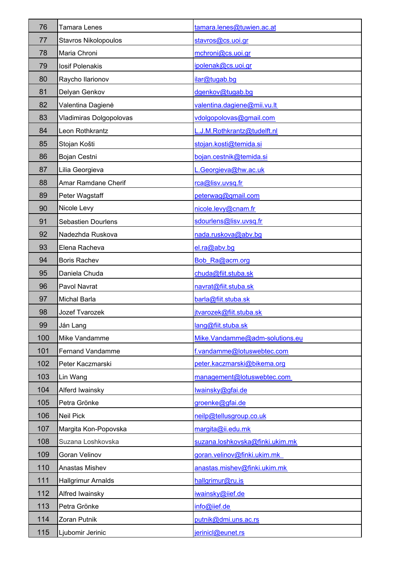| 76  | Tamara Lenes                | tamara.lenes@tuwien.ac.at       |
|-----|-----------------------------|---------------------------------|
| 77  | <b>Stavros Nikolopoulos</b> | stavros@cs.uoi.gr               |
| 78  | Maria Chroni                | mchroni@cs.uoi.gr               |
| 79  | <b>losif Polenakis</b>      | ipolenak@cs.uoi.gr              |
| 80  | Raycho Ilarionov            | ilar@tugab.bg                   |
| 81  | Delyan Genkov               | dgenkov@tugab.bg                |
| 82  | Valentina Dagienė           | valentina.dagiene@mii.vu.lt     |
| 83  | Vladimiras Dolgopolovas     | vdolgopolovas@gmail.com         |
| 84  | Leon Rothkrantz             | L.J.M.Rothkrantz@tudelft.nl     |
| 85  | Stojan Košti                | stojan.kosti@temida.si          |
| 86  | Bojan Cestni                | bojan.cestnik@temida.si         |
| 87  | Lilia Georgieva             | L.Georgieva@hw.ac.uk            |
| 88  | Amar Ramdane Cherif         | rca@lisv.uvsq.fr                |
| 89  | Peter Wagstaff              | peterwag@gmail.com              |
| 90  | Nicole Levy                 | nicole.levy@cnam.fr             |
| 91  | Sebastien Dourlens          | sdourlens@lisv.uvsq.fr          |
| 92  | Nadezhda Ruskova            | nada.ruskova@abv.bg             |
| 93  | Elena Racheva               | el.ra@abv.bg                    |
| 94  | <b>Boris Rachev</b>         | Bob Ra@acm.org                  |
| 95  | Daniela Chuda               | chuda@fiit.stuba.sk             |
| 96  | Pavol Navrat                | navrat@fiit.stuba.sk            |
| 97  | Michal Barla                | barla@fiit.stuba.sk             |
| 98  | <b>Jozef Tvarozek</b>       | jtvarozek@fiit.stuba.sk         |
| 99  | Ján Lang                    | lang@fiit.stuba.sk              |
| 100 | Mike Vandamme               | Mike.Vandamme@adm-solutions.eu  |
| 101 | <b>Fernand Vandamme</b>     | f.vandamme@lotuswebtec.com      |
| 102 | Peter Kaczmarski            | peter.kaczmarski@bikema.org     |
| 103 | Lin Wang                    | management@lotuswebtec.com      |
| 104 | Alferd Iwainsky             | Iwainsky@gfai.de                |
| 105 | Petra Grönke                | groenke@gfai.de                 |
| 106 | <b>Neil Pick</b>            | neilp@tellusgroup.co.uk         |
| 107 | Margita Kon-Popovska        | margita@ii.edu.mk               |
| 108 | Suzana Loshkovska           | suzana.loshkovska@finki.ukim.mk |
| 109 | Goran Velinov               | goran.velinov@finki.ukim.mk     |
| 110 | Anastas Mishev              | anastas.mishev@finki.ukim.mk    |
| 111 | <b>Hallgrimur Arnalds</b>   | hallgrimur@ru.is                |
| 112 | Alfred Iwainsky             | iwainsky@iief.de                |
| 113 | Petra Grönke                | info@iief.de                    |
| 114 | Zoran Putnik                | putnik@dmi.uns.ac.rs            |
| 115 | Ljubomir Jerinic            | jerinicl@eunet.rs               |